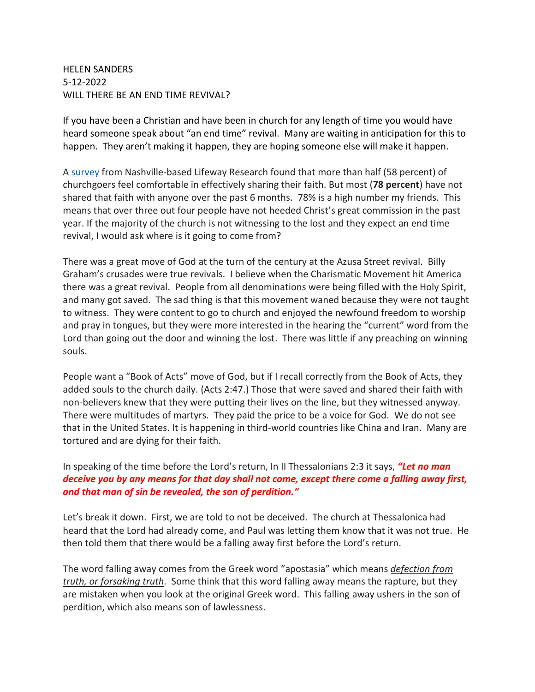HELEN SANDERS 5-12-2022 WILL THERE BE AN END TIME REVIVAL?

If you have been a Christian and have been in church for any length of time you would have heard someone speak about "an end time" revival. Many are waiting in anticipation for this to happen. They aren't making it happen, they are hoping someone else will make it happen.

A [survey](https://www.globalcp.org/statistics) from Nashville-based Lifeway Research found that more than half (58 percent) of churchgoers feel comfortable in effectively sharing their faith. But most (**78 percent**) have not shared that faith with anyone over the past 6 months. 78% is a high number my friends. This means that over three out four people have not heeded Christ's great commission in the past year. If the majority of the church is not witnessing to the lost and they expect an end time revival, I would ask where is it going to come from?

There was a great move of God at the turn of the century at the Azusa Street revival. Billy Graham's crusades were true revivals. I believe when the Charismatic Movement hit America there was a great revival. People from all denominations were being filled with the Holy Spirit, and many got saved. The sad thing is that this movement waned because they were not taught to witness. They were content to go to church and enjoyed the newfound freedom to worship and pray in tongues, but they were more interested in the hearing the "current" word from the Lord than going out the door and winning the lost. There was little if any preaching on winning souls.

People want a "Book of Acts" move of God, but if I recall correctly from the Book of Acts, they added souls to the church daily. (Acts 2:47.) Those that were saved and shared their faith with non-believers knew that they were putting their lives on the line, but they witnessed anyway. There were multitudes of martyrs. They paid the price to be a voice for God. We do not see that in the United States. It is happening in third-world countries like China and Iran. Many are tortured and are dying for their faith.

In speaking of the time before the Lord's return, In II Thessalonians 2:3 it says, *"Let no man deceive you by any means for that day shall not come, except there come a falling away first, and that man of sin be revealed, the son of perdition."*

Let's break it down. First, we are told to not be deceived. The church at Thessalonica had heard that the Lord had already come, and Paul was letting them know that it was not true. He then told them that there would be a falling away first before the Lord's return.

The word falling away comes from the Greek word "apostasia" which means *defection from truth, or forsaking truth*. Some think that this word falling away means the rapture, but they are mistaken when you look at the original Greek word. This falling away ushers in the son of perdition, which also means son of lawlessness.